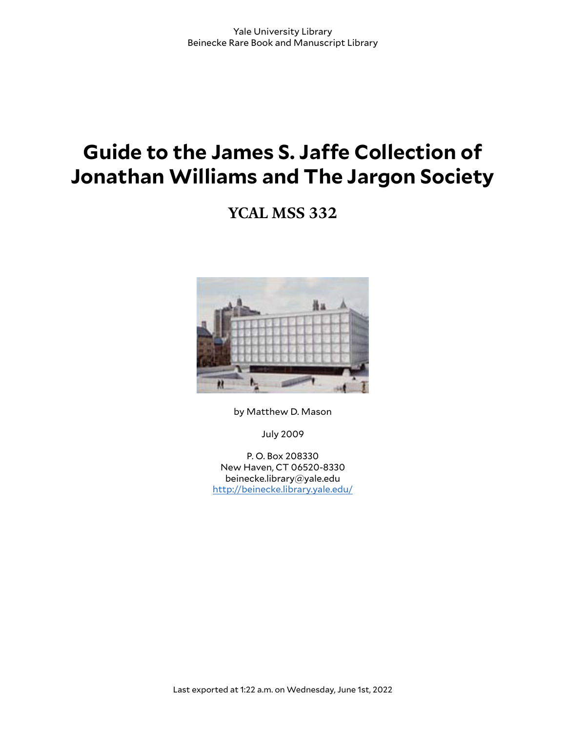# **Guide to the James S. Jae Collection of Jonathan Williams and The Jargon Society**

**YCAL MSS 332**



by Matthew D. Mason

July 2009

P. O. Box 208330 New Haven, CT 06520-8330 beinecke.library@yale.edu <http://beinecke.library.yale.edu/>

Last exported at 1:22 a.m. on Wednesday, June 1st, 2022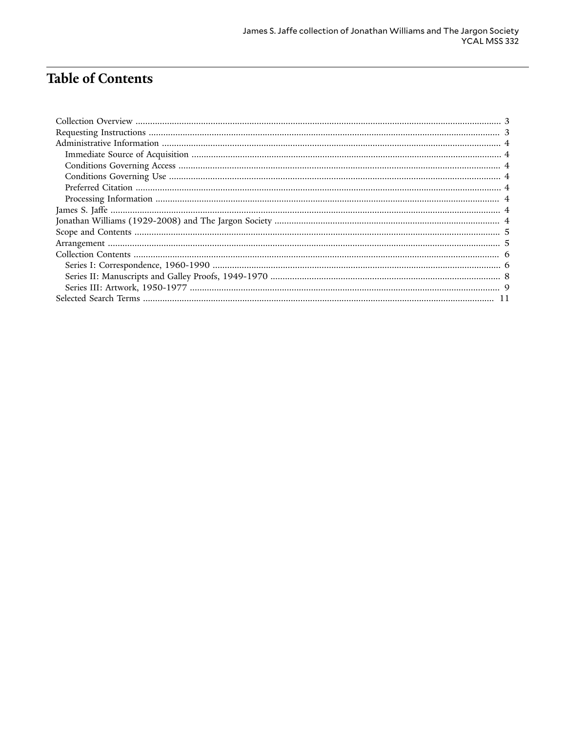## Table of Contents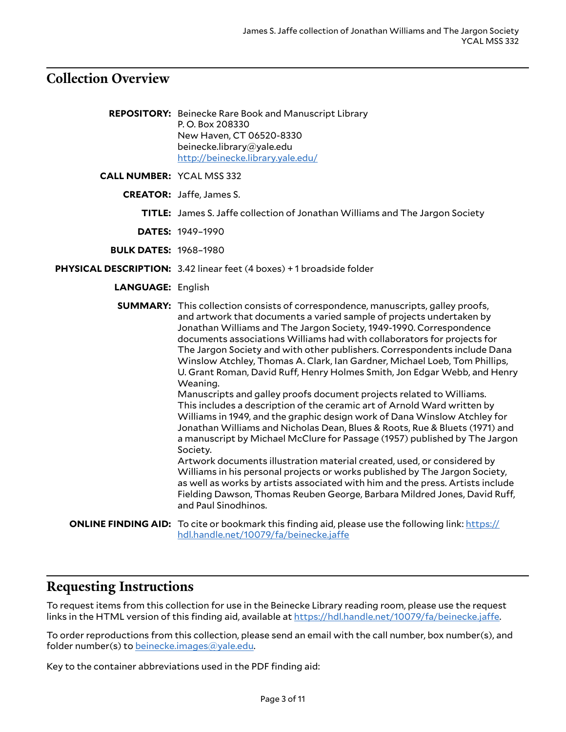## <span id="page-2-0"></span>**Collection Overview**

| <b>REPOSITORY:</b> Beinecke Rare Book and Manuscript Library |
|--------------------------------------------------------------|
| P.O. Box 208330                                              |
| New Haven, CT 06520-8330                                     |
| beinecke.library@yale.edu                                    |
| http://beinecke.library.yale.edu/                            |
|                                                              |

**CALL NUMBER:** YCAL MSS 332

**CREATOR:** Jaffe, James S.

**TITLE:** James S. Jaffe collection of Jonathan Williams and The Jargon Society

**DATES:** 1949–1990

**BULK DATES:** 1968–1980

**PHYSICAL DESCRIPTION:** 3.42 linear feet (4 boxes) + 1 broadside folder

**LANGUAGE:** English

**SUMMARY:** This collection consists of correspondence, manuscripts, galley proofs, and artwork that documents a varied sample of projects undertaken by Jonathan Williams and The Jargon Society, 1949-1990. Correspondence documents associations Williams had with collaborators for projects for The Jargon Society and with other publishers. Correspondents include Dana Winslow Atchley, Thomas A. Clark, Ian Gardner, Michael Loeb, Tom Phillips, U. Grant Roman, David Ruff, Henry Holmes Smith, Jon Edgar Webb, and Henry Weaning.

> Manuscripts and galley proofs document projects related to Williams. This includes a description of the ceramic art of Arnold Ward written by Williams in 1949, and the graphic design work of Dana Winslow Atchley for Jonathan Williams and Nicholas Dean, Blues & Roots, Rue & Bluets (1971) and a manuscript by Michael McClure for Passage (1957) published by The Jargon Society.

> Artwork documents illustration material created, used, or considered by Williams in his personal projects or works published by The Jargon Society, as well as works by artists associated with him and the press. Artists include Fielding Dawson, Thomas Reuben George, Barbara Mildred Jones, David Ruff, and Paul Sinodhinos.

**ONLINE FINDING AID:** To cite or bookmark this finding aid, please use the following link: [https://](https://hdl.handle.net/10079/fa/beinecke.jaffe) hdl.handle.net/10079/fa/beinecke.jaffe

### <span id="page-2-1"></span>**Requesting Instructions**

To request items from this collection for use in the Beinecke Library reading room, please use the request links in the HTML version of this finding aid, available at https://hdl.handle.net/10079/fa/beinecke.jaffe.

To order reproductions from this collection, please send an email with the call number, box number(s), and folder number(s) to [beinecke.images@yale.edu.](mailto:beinecke.images@yale.edu)

Key to the container abbreviations used in the PDF finding aid: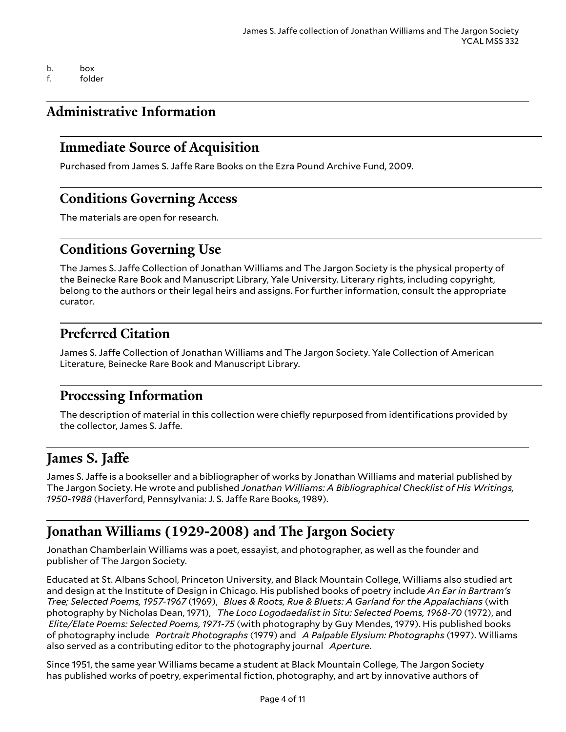b. box f. folder

## <span id="page-3-0"></span>**Administrative Information**

## <span id="page-3-1"></span>**Immediate Source of Acquisition**

Purchased from James S. Jaffe Rare Books on the Ezra Pound Archive Fund, 2009.

## <span id="page-3-2"></span>**Conditions Governing Access**

The materials are open for research.

## <span id="page-3-3"></span>**Conditions Governing Use**

The James S. Jaffe Collection of Jonathan Williams and The Jargon Society is the physical property of the Beinecke Rare Book and Manuscript Library, Yale University. Literary rights, including copyright, belong to the authors or their legal heirs and assigns. For further information, consult the appropriate curator.

## <span id="page-3-4"></span>**Preferred Citation**

James S. Jaffe Collection of Jonathan Williams and The Jargon Society. Yale Collection of American Literature, Beinecke Rare Book and Manuscript Library.

## <span id="page-3-5"></span>**Processing Information**

The description of material in this collection were chiefly repurposed from identifications provided by the collector, James S. Jaffe.

## <span id="page-3-6"></span>**James** S. **Jaffe**

James S. Jaffe is a bookseller and a bibliographer of works by Jonathan Williams and material published by The Jargon Society. He wrote and published *Jonathan Williams: A Bibliographical Checklist of His Writings, 1950-1988* (Haverford, Pennsylvania: J. S. Ja5e Rare Books, 1989).

## <span id="page-3-7"></span>**Jonathan Williams (1929-2008) and The Jargon Society**

Jonathan Chamberlain Williams was a poet, essayist, and photographer, as well as the founder and publisher of The Jargon Society.

Educated at St. Albans School, Princeton University, and Black Mountain College, Williams also studied art and design at the Institute of Design in Chicago. His published books of poetry include *An Ear in Bartram's Tree; Selected Poems, 1957-1967* (1969), *Blues & Roots, Rue & Bluets: A Garland for the Appalachians* (with photography by Nicholas Dean, 1971), *The Loco Logodaedalist in Situ: Selected Poems, 1968-70* (1972), and *Elite/Elate Poems: Selected Poems, 1971-75* (with photography by Guy Mendes, 1979). His published books of photography include *Portrait Photographs* (1979) and *A Palpable Elysium: Photographs* (1997). Williams also served as a contributing editor to the photography journal *Aperture*.

Since 1951, the same year Williams became a student at Black Mountain College, The Jargon Society has published works of poetry, experimental fiction, photography, and art by innovative authors of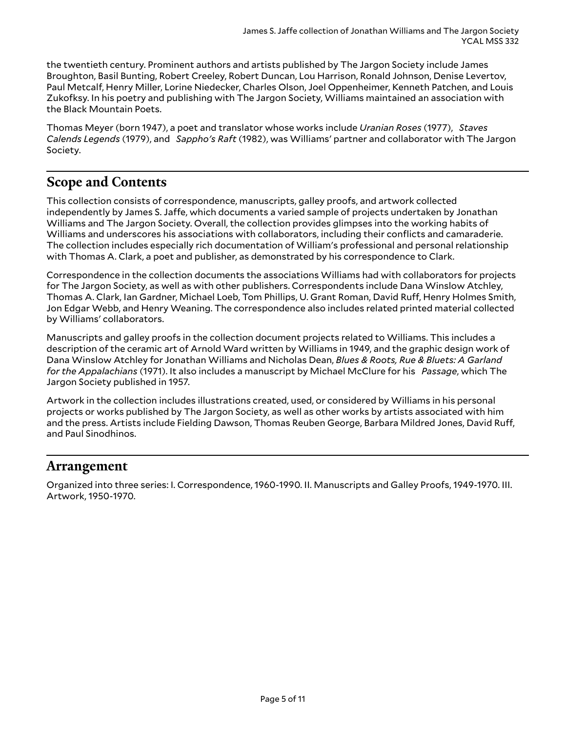the twentieth century. Prominent authors and artists published by The Jargon Society include James Broughton, Basil Bunting, Robert Creeley, Robert Duncan, Lou Harrison, Ronald Johnson, Denise Levertov, Paul Metcalf, Henry Miller, Lorine Niedecker, Charles Olson, Joel Oppenheimer, Kenneth Patchen, and Louis Zukofksy. In his poetry and publishing with The Jargon Society, Williams maintained an association with the Black Mountain Poets.

Thomas Meyer (born 1947), a poet and translator whose works include *Uranian Roses* (1977), *Staves Calends Legends* (1979), and *Sappho's Raft* (1982), was Williams' partner and collaborator with The Jargon Society.

## <span id="page-4-0"></span>**Scope and Contents**

This collection consists of correspondence, manuscripts, galley proofs, and artwork collected independently by James S. Jaffe, which documents a varied sample of projects undertaken by Jonathan Williams and The Jargon Society. Overall, the collection provides glimpses into the working habits of Williams and underscores his associations with collaborators, including their conflicts and camaraderie. The collection includes especially rich documentation of William's professional and personal relationship with Thomas A. Clark, a poet and publisher, as demonstrated by his correspondence to Clark.

Correspondence in the collection documents the associations Williams had with collaborators for projects for The Jargon Society, as well as with other publishers. Correspondents include Dana Winslow Atchley, Thomas A. Clark, Ian Gardner, Michael Loeb, Tom Phillips, U. Grant Roman, David Ruff, Henry Holmes Smith, Jon Edgar Webb, and Henry Weaning. The correspondence also includes related printed material collected by Williams' collaborators.

Manuscripts and galley proofs in the collection document projects related to Williams. This includes a description of the ceramic art of Arnold Ward written by Williams in 1949, and the graphic design work of Dana Winslow Atchley for Jonathan Williams and Nicholas Dean, *Blues & Roots, Rue & Bluets: A Garland for the Appalachians* (1971). It also includes a manuscript by Michael McClure for his *Passage*, which The Jargon Society published in 1957.

Artwork in the collection includes illustrations created, used, or considered by Williams in his personal projects or works published by The Jargon Society, as well as other works by artists associated with him and the press. Artists include Fielding Dawson, Thomas Reuben George, Barbara Mildred Jones, David Ruff, and Paul Sinodhinos.

## <span id="page-4-1"></span>**Arrangement**

Organized into three series: I. Correspondence, 1960-1990. II. Manuscripts and Galley Proofs, 1949-1970. III. Artwork, 1950-1970.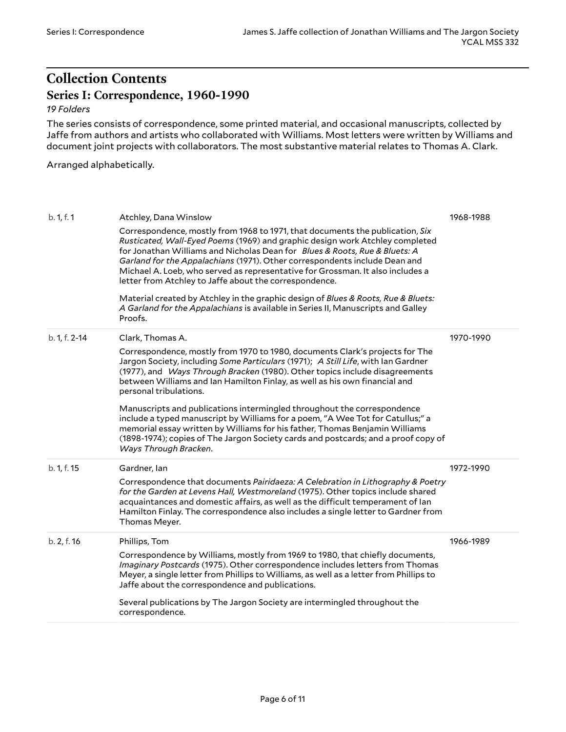## <span id="page-5-0"></span>**Collection Contents Series I: Correspondence, 1960-1990**

### <span id="page-5-1"></span>*19 Folders*

The series consists of correspondence, some printed material, and occasional manuscripts, collected by Jaffe from authors and artists who collaborated with Williams. Most letters were written by Williams and document joint projects with collaborators. The most substantive material relates to Thomas A. Clark.

Arranged alphabetically.

| b. 1, f. 1    | Atchley, Dana Winslow                                                                                                                                                                                                                                                                                                                                                                                                                                                                                                                                      | 1968-1988 |
|---------------|------------------------------------------------------------------------------------------------------------------------------------------------------------------------------------------------------------------------------------------------------------------------------------------------------------------------------------------------------------------------------------------------------------------------------------------------------------------------------------------------------------------------------------------------------------|-----------|
|               | Correspondence, mostly from 1968 to 1971, that documents the publication, Six<br>Rusticated, Wall-Eyed Poems (1969) and graphic design work Atchley completed<br>for Jonathan Williams and Nicholas Dean for Blues & Roots, Rue & Bluets: A<br>Garland for the Appalachians (1971). Other correspondents include Dean and<br>Michael A. Loeb, who served as representative for Grossman. It also includes a<br>letter from Atchley to Jaffe about the correspondence.<br>Material created by Atchley in the graphic design of Blues & Roots, Rue & Bluets: |           |
|               | A Garland for the Appalachians is available in Series II, Manuscripts and Galley<br>Proofs.                                                                                                                                                                                                                                                                                                                                                                                                                                                                |           |
| b. 1, f. 2-14 | Clark, Thomas A.                                                                                                                                                                                                                                                                                                                                                                                                                                                                                                                                           | 1970-1990 |
|               | Correspondence, mostly from 1970 to 1980, documents Clark's projects for The<br>Jargon Society, including Some Particulars (1971); A Still Life, with Ian Gardner<br>(1977), and Ways Through Bracken (1980). Other topics include disagreements<br>between Williams and Ian Hamilton Finlay, as well as his own financial and<br>personal tribulations.                                                                                                                                                                                                   |           |
|               | Manuscripts and publications intermingled throughout the correspondence<br>include a typed manuscript by Williams for a poem, "A Wee Tot for Catullus;" a<br>memorial essay written by Williams for his father, Thomas Benjamin Williams<br>(1898-1974); copies of The Jargon Society cards and postcards; and a proof copy of<br>Ways Through Bracken.                                                                                                                                                                                                    |           |
| b. 1, f. 15   | Gardner, Ian                                                                                                                                                                                                                                                                                                                                                                                                                                                                                                                                               | 1972-1990 |
|               | Correspondence that documents Pairidaeza: A Celebration in Lithography & Poetry<br>for the Garden at Levens Hall, Westmoreland (1975). Other topics include shared<br>acquaintances and domestic affairs, as well as the difficult temperament of lan<br>Hamilton Finlay. The correspondence also includes a single letter to Gardner from<br>Thomas Meyer.                                                                                                                                                                                                |           |
| b. 2, f. 16   | Phillips, Tom                                                                                                                                                                                                                                                                                                                                                                                                                                                                                                                                              | 1966-1989 |
|               | Correspondence by Williams, mostly from 1969 to 1980, that chiefly documents,<br>Imaginary Postcards (1975). Other correspondence includes letters from Thomas<br>Meyer, a single letter from Phillips to Williams, as well as a letter from Phillips to<br>Jaffe about the correspondence and publications.                                                                                                                                                                                                                                               |           |
|               | Several publications by The Jargon Society are intermingled throughout the<br>correspondence.                                                                                                                                                                                                                                                                                                                                                                                                                                                              |           |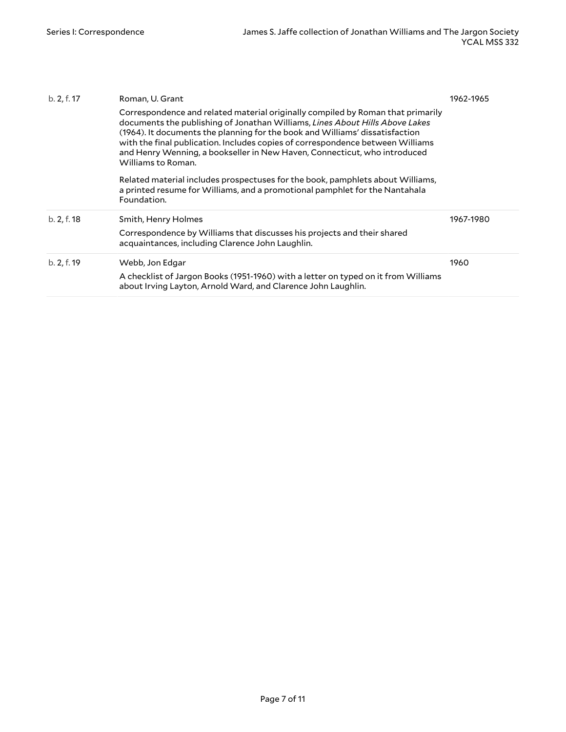| b. 2, f. 17 | Roman, U. Grant                                                                                                                                                                                                                                                                                                                                                                                                                      | 1962-1965 |
|-------------|--------------------------------------------------------------------------------------------------------------------------------------------------------------------------------------------------------------------------------------------------------------------------------------------------------------------------------------------------------------------------------------------------------------------------------------|-----------|
|             | Correspondence and related material originally compiled by Roman that primarily<br>documents the publishing of Jonathan Williams, Lines About Hills Above Lakes<br>(1964). It documents the planning for the book and Williams' dissatisfaction<br>with the final publication. Includes copies of correspondence between Williams<br>and Henry Wenning, a bookseller in New Haven, Connecticut, who introduced<br>Williams to Roman. |           |
|             | Related material includes prospectuses for the book, pamphlets about Williams,<br>a printed resume for Williams, and a promotional pamphlet for the Nantahala<br>Foundation.                                                                                                                                                                                                                                                         |           |
| b. 2, f. 18 | Smith, Henry Holmes                                                                                                                                                                                                                                                                                                                                                                                                                  | 1967-1980 |
|             | Correspondence by Williams that discusses his projects and their shared<br>acquaintances, including Clarence John Laughlin.                                                                                                                                                                                                                                                                                                          |           |
| b. 2, f. 19 | Webb, Jon Edgar                                                                                                                                                                                                                                                                                                                                                                                                                      | 1960      |
|             | A checklist of Jargon Books (1951-1960) with a letter on typed on it from Williams<br>about Irving Layton, Arnold Ward, and Clarence John Laughlin.                                                                                                                                                                                                                                                                                  |           |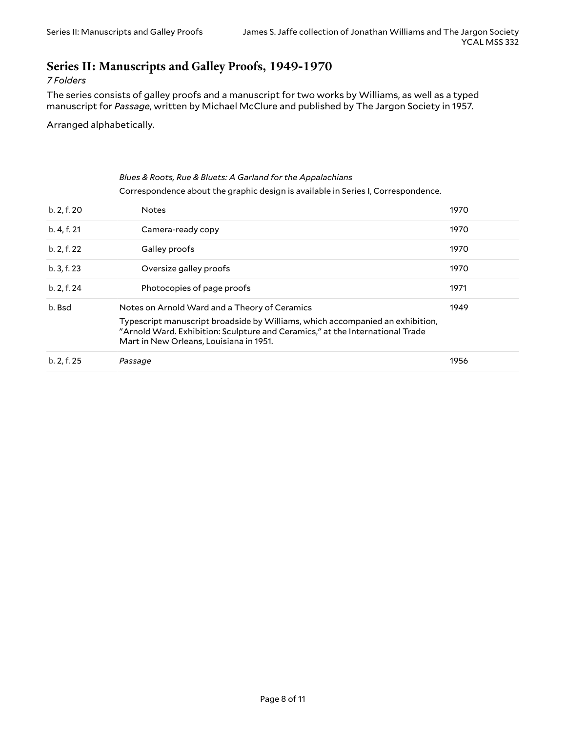### <span id="page-7-0"></span>**Series II: Manuscripts and Galley Proofs, 1949-1970**

#### *7 Folders*

The series consists of galley proofs and a manuscript for two works by Williams, as well as a typed manuscript for *Passage*, written by Michael McClure and published by The Jargon Society in 1957.

Arranged alphabetically.

### *Blues & Roots, Rue & Bluets: A Garland for the Appalachians* Correspondence about the graphic design is available in Series I, Correspondence.

| b. 2, f. 20 | <b>Notes</b>                                                                                                                                                                                                                                               | 1970 |
|-------------|------------------------------------------------------------------------------------------------------------------------------------------------------------------------------------------------------------------------------------------------------------|------|
| b. 4, f. 21 | Camera-ready copy                                                                                                                                                                                                                                          | 1970 |
| b. 2, f. 22 | Galley proofs                                                                                                                                                                                                                                              | 1970 |
| b. 3, f. 23 | Oversize galley proofs                                                                                                                                                                                                                                     | 1970 |
| b. 2, f. 24 | Photocopies of page proofs                                                                                                                                                                                                                                 | 1971 |
| b. Bsd      | Notes on Arnold Ward and a Theory of Ceramics<br>Typescript manuscript broadside by Williams, which accompanied an exhibition,<br>"Arnold Ward. Exhibition: Sculpture and Ceramics," at the International Trade<br>Mart in New Orleans, Louisiana in 1951. | 1949 |
| b. 2, f. 25 | Passage                                                                                                                                                                                                                                                    | 1956 |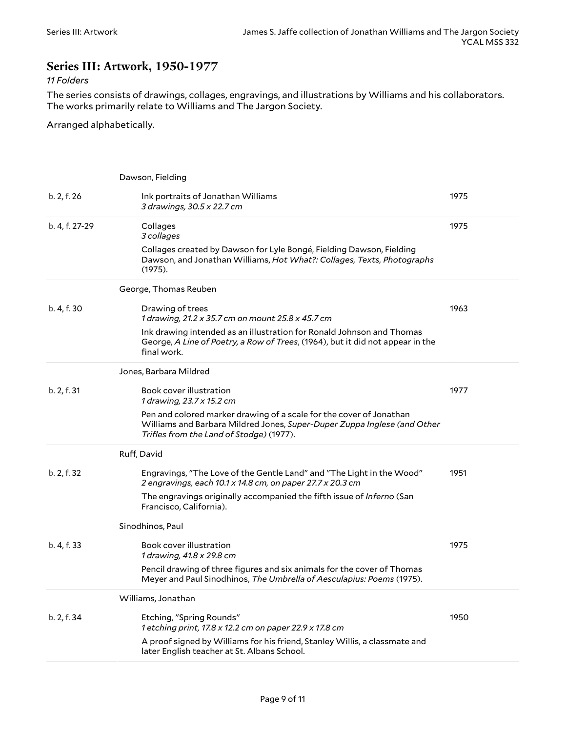## <span id="page-8-0"></span>**Series III: Artwork, 1950-1977**

#### *11 Folders*

The series consists of drawings, collages, engravings, and illustrations by Williams and his collaborators. The works primarily relate to Williams and The Jargon Society.

Arranged alphabetically.

|                    | Dawson, Fielding                                                                                                                                                                                                 |      |
|--------------------|------------------------------------------------------------------------------------------------------------------------------------------------------------------------------------------------------------------|------|
| b. 2, f. 26        | Ink portraits of Jonathan Williams<br>3 drawings, 30.5 x 22.7 cm                                                                                                                                                 | 1975 |
| b. 4, f. 27-29     | Collages<br>3 collages<br>Collages created by Dawson for Lyle Bongé, Fielding Dawson, Fielding<br>Dawson, and Jonathan Williams, Hot What?: Collages, Texts, Photographs                                         | 1975 |
|                    | (1975).                                                                                                                                                                                                          |      |
|                    | George, Thomas Reuben                                                                                                                                                                                            |      |
| b. 4, f. 30        | Drawing of trees<br>1 drawing, 21.2 x 35.7 cm on mount 25.8 x 45.7 cm                                                                                                                                            | 1963 |
|                    | Ink drawing intended as an illustration for Ronald Johnson and Thomas<br>George, A Line of Poetry, a Row of Trees, (1964), but it did not appear in the<br>final work.                                           |      |
|                    | Jones, Barbara Mildred                                                                                                                                                                                           |      |
| b. 2, f. 31        | Book cover illustration<br>1 drawing, 23.7 x 15.2 cm                                                                                                                                                             | 1977 |
|                    | Pen and colored marker drawing of a scale for the cover of Jonathan<br>Williams and Barbara Mildred Jones, Super-Duper Zuppa Inglese (and Other<br>Trifles from the Land of Stodge) (1977).                      |      |
|                    | Ruff, David                                                                                                                                                                                                      |      |
| b. 2, f. 32        | Engravings, "The Love of the Gentle Land" and "The Light in the Wood"<br>2 engravings, each 10.1 x 14.8 cm, on paper 27.7 x 20.3 cm                                                                              | 1951 |
|                    | The engravings originally accompanied the fifth issue of Inferno (San<br>Francisco, California).                                                                                                                 |      |
|                    | Sinodhinos, Paul                                                                                                                                                                                                 |      |
| b. 4, f. 33        | <b>Book cover illustration</b><br>1 drawing, 41.8 x 29.8 cm                                                                                                                                                      | 1975 |
|                    | Pencil drawing of three figures and six animals for the cover of Thomas<br>Meyer and Paul Sinodhinos, The Umbrella of Aesculapius: Poems (1975).                                                                 |      |
| Williams, Jonathan |                                                                                                                                                                                                                  |      |
| b. 2, f. 34        | Etching, "Spring Rounds"<br>1 etching print, 17.8 x 12.2 cm on paper 22.9 x 17.8 cm<br>A proof signed by Williams for his friend, Stanley Willis, a classmate and<br>later English teacher at St. Albans School. | 1950 |
|                    |                                                                                                                                                                                                                  |      |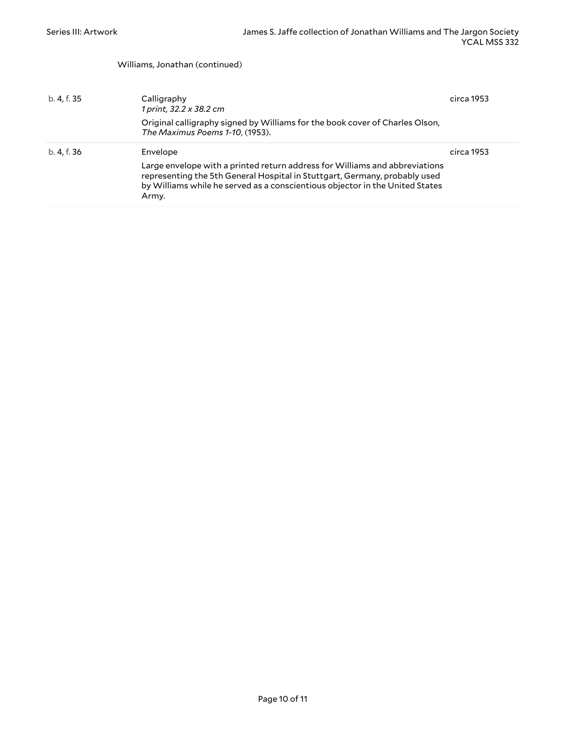Williams, Jonathan (continued)

| b. 4, f. 35 | Calligraphy<br>1 print, 32.2 x 38.2 cm<br>Original calligraphy signed by Williams for the book cover of Charles Olson,<br>The Maximus Poems 1-10, (1953).                                                                                                      | circa 1953 |
|-------------|----------------------------------------------------------------------------------------------------------------------------------------------------------------------------------------------------------------------------------------------------------------|------------|
| b. 4, f. 36 | Envelope<br>Large envelope with a printed return address for Williams and abbreviations<br>representing the 5th General Hospital in Stuttgart, Germany, probably used<br>by Williams while he served as a conscientious objector in the United States<br>Army. | circa 1953 |